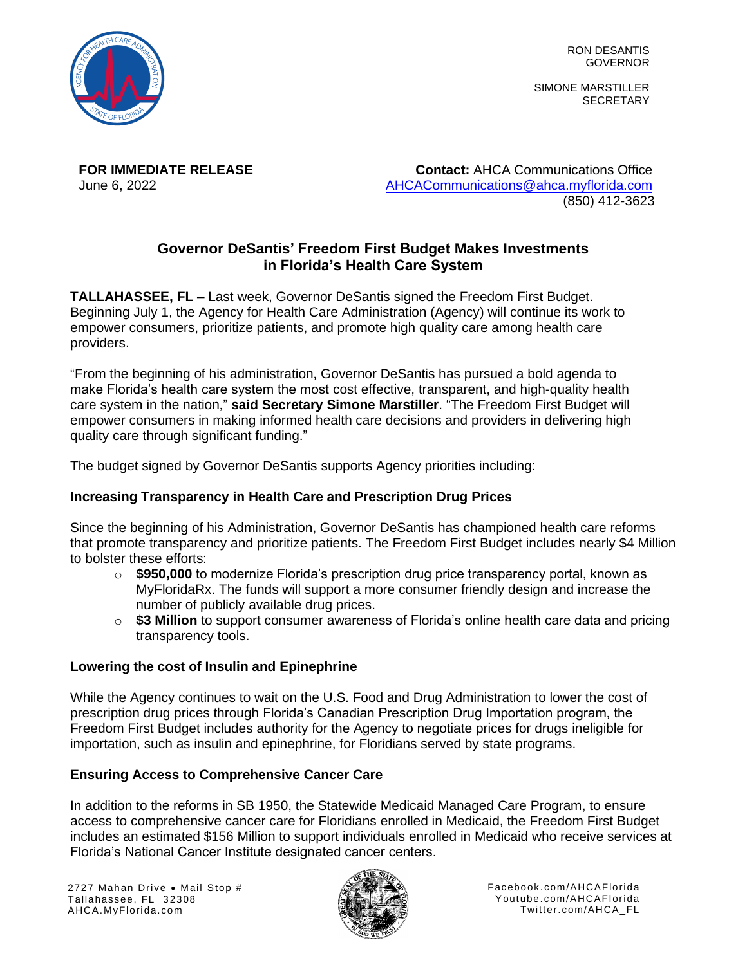

RON DESANTIS GOVERNOR

SIMONE MARSTILLER **SECRETARY** 

**FOR IMMEDIATE RELEASE Contact:** AHCA Communications Office June 6, 2022 [AHCACommunications@ahca.myflorida.com](mailto:AHCACommunications@ahca.myflorida.com) (850) 412-3623

# **Governor DeSantis' Freedom First Budget Makes Investments in Florida's Health Care System**

**TALLAHASSEE, FL** – Last week, Governor DeSantis signed the Freedom First Budget. Beginning July 1, the Agency for Health Care Administration (Agency) will continue its work to empower consumers, prioritize patients, and promote high quality care among health care providers.

"From the beginning of his administration, Governor DeSantis has pursued a bold agenda to make Florida's health care system the most cost effective, transparent, and high-quality health care system in the nation," **said Secretary Simone Marstiller**. "The Freedom First Budget will empower consumers in making informed health care decisions and providers in delivering high quality care through significant funding."

The budget signed by Governor DeSantis supports Agency priorities including:

# **Increasing Transparency in Health Care and Prescription Drug Prices**

Since the beginning of his Administration, Governor DeSantis has championed health care reforms that promote transparency and prioritize patients. The Freedom First Budget includes nearly \$4 Million to bolster these efforts:

- o **\$950,000** to modernize Florida's prescription drug price transparency portal, known as MyFloridaRx. The funds will support a more consumer friendly design and increase the number of publicly available drug prices.
- o **\$3 Million** to support consumer awareness of Florida's online health care data and pricing transparency tools.

# **Lowering the cost of Insulin and Epinephrine**

While the Agency continues to wait on the U.S. Food and Drug Administration to lower the cost of prescription drug prices through Florida's Canadian Prescription Drug Importation program, the Freedom First Budget includes authority for the Agency to negotiate prices for drugs ineligible for importation, such as insulin and epinephrine, for Floridians served by state programs.

# **Ensuring Access to Comprehensive Cancer Care**

In addition to the reforms in SB 1950, the Statewide Medicaid Managed Care Program, to ensure access to comprehensive cancer care for Floridians enrolled in Medicaid, the Freedom First Budget includes an estimated \$156 Million to support individuals enrolled in Medicaid who receive services at Florida's National Cancer Institute designated cancer centers.